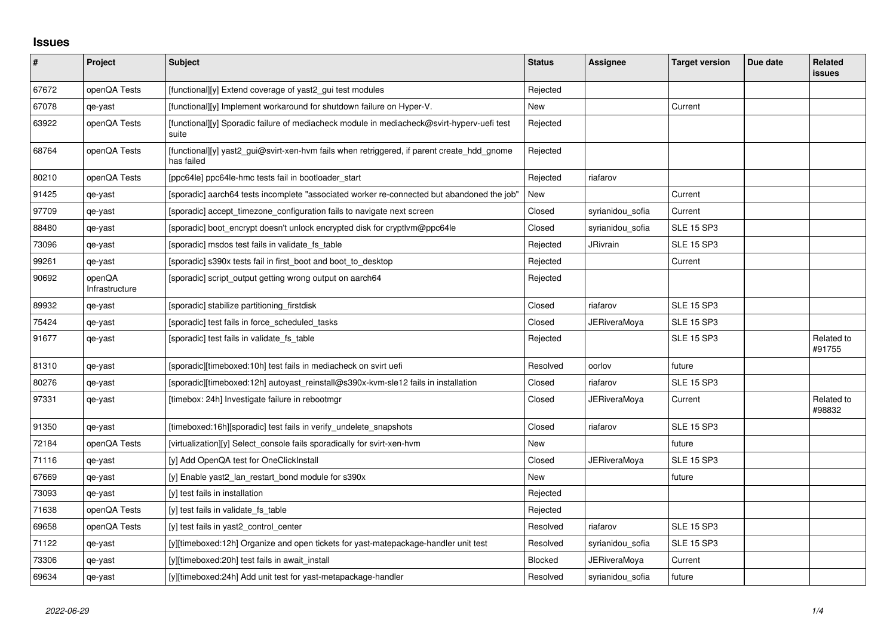## **Issues**

| $\vert$ # | Project                  | Subject                                                                                                  | <b>Status</b>  | <b>Assignee</b>     | <b>Target version</b> | Due date | Related<br><b>issues</b> |
|-----------|--------------------------|----------------------------------------------------------------------------------------------------------|----------------|---------------------|-----------------------|----------|--------------------------|
| 67672     | openQA Tests             | [functional][y] Extend coverage of yast2 gui test modules                                                | Rejected       |                     |                       |          |                          |
| 67078     | qe-yast                  | [functional][y] Implement workaround for shutdown failure on Hyper-V.                                    | <b>New</b>     |                     | Current               |          |                          |
| 63922     | openQA Tests             | [functional][y] Sporadic failure of mediacheck module in mediacheck@svirt-hyperv-uefi test<br>suite      | Rejected       |                     |                       |          |                          |
| 68764     | openQA Tests             | [functional][y] yast2 gui@svirt-xen-hvm fails when retriggered, if parent create hdd gnome<br>has failed | Rejected       |                     |                       |          |                          |
| 80210     | openQA Tests             | [ppc64le] ppc64le-hmc tests fail in bootloader_start                                                     | Rejected       | riafarov            |                       |          |                          |
| 91425     | qe-yast                  | [sporadic] aarch64 tests incomplete "associated worker re-connected but abandoned the job"               | New            |                     | Current               |          |                          |
| 97709     | qe-yast                  | [sporadic] accept_timezone_configuration fails to navigate next screen                                   | Closed         | syrianidou_sofia    | Current               |          |                          |
| 88480     | qe-yast                  | [sporadic] boot_encrypt doesn't unlock encrypted disk for cryptlvm@ppc64le                               | Closed         | syrianidou_sofia    | <b>SLE 15 SP3</b>     |          |                          |
| 73096     | qe-yast                  | [sporadic] msdos test fails in validate_fs_table                                                         | Rejected       | JRivrain            | <b>SLE 15 SP3</b>     |          |                          |
| 99261     | qe-yast                  | [sporadic] s390x tests fail in first boot and boot to desktop                                            | Rejected       |                     | Current               |          |                          |
| 90692     | openQA<br>Infrastructure | [sporadic] script_output getting wrong output on aarch64                                                 | Rejected       |                     |                       |          |                          |
| 89932     | qe-yast                  | [sporadic] stabilize partitioning_firstdisk                                                              | Closed         | riafarov            | <b>SLE 15 SP3</b>     |          |                          |
| 75424     | qe-yast                  | [sporadic] test fails in force_scheduled_tasks                                                           | Closed         | JERiveraMoya        | <b>SLE 15 SP3</b>     |          |                          |
| 91677     | qe-yast                  | [sporadic] test fails in validate_fs_table                                                               | Rejected       |                     | <b>SLE 15 SP3</b>     |          | Related to<br>#91755     |
| 81310     | qe-yast                  | [sporadic][timeboxed:10h] test fails in mediacheck on svirt uefi                                         | Resolved       | oorlov              | future                |          |                          |
| 80276     | qe-yast                  | [sporadic][timeboxed:12h] autoyast reinstall@s390x-kvm-sle12 fails in installation                       | Closed         | riafarov            | <b>SLE 15 SP3</b>     |          |                          |
| 97331     | qe-yast                  | [timebox: 24h] Investigate failure in rebootmgr                                                          | Closed         | JERiveraMoya        | Current               |          | Related to<br>#98832     |
| 91350     | qe-yast                  | [timeboxed:16h][sporadic] test fails in verify_undelete_snapshots                                        | Closed         | riafarov            | <b>SLE 15 SP3</b>     |          |                          |
| 72184     | openQA Tests             | [virtualization][y] Select_console fails sporadically for svirt-xen-hvm                                  | New            |                     | future                |          |                          |
| 71116     | qe-yast                  | [y] Add OpenQA test for OneClickInstall                                                                  | Closed         | JERiveraMoya        | <b>SLE 15 SP3</b>     |          |                          |
| 67669     | qe-yast                  | [y] Enable yast2_lan_restart_bond module for s390x                                                       | New            |                     | future                |          |                          |
| 73093     | qe-yast                  | [y] test fails in installation                                                                           | Rejected       |                     |                       |          |                          |
| 71638     | openQA Tests             | [y] test fails in validate fs table                                                                      | Rejected       |                     |                       |          |                          |
| 69658     | openQA Tests             | [y] test fails in yast2_control_center                                                                   | Resolved       | riafarov            | <b>SLE 15 SP3</b>     |          |                          |
| 71122     | qe-yast                  | [y][timeboxed:12h] Organize and open tickets for yast-matepackage-handler unit test                      | Resolved       | syrianidou_sofia    | <b>SLE 15 SP3</b>     |          |                          |
| 73306     | qe-yast                  | [y][timeboxed:20h] test fails in await_install                                                           | <b>Blocked</b> | <b>JERiveraMoya</b> | Current               |          |                          |
| 69634     | qe-yast                  | [y][timeboxed:24h] Add unit test for yast-metapackage-handler                                            | Resolved       | syrianidou sofia    | future                |          |                          |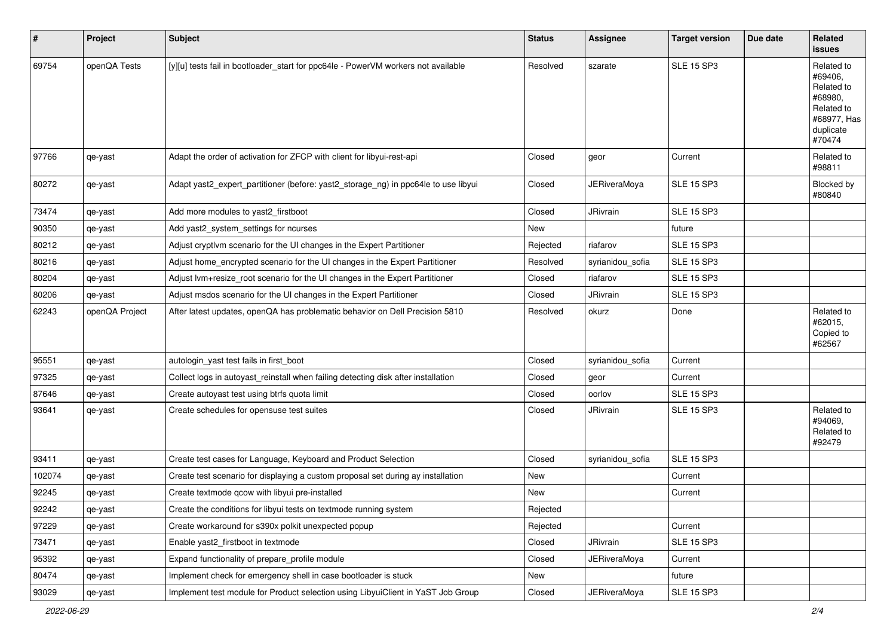| #      | Project        | <b>Subject</b>                                                                     | <b>Status</b> | Assignee            | <b>Target version</b> | Due date | Related<br>issues                                                                                  |
|--------|----------------|------------------------------------------------------------------------------------|---------------|---------------------|-----------------------|----------|----------------------------------------------------------------------------------------------------|
| 69754  | openQA Tests   | [y][u] tests fail in bootloader_start for ppc64le - PowerVM workers not available  | Resolved      | szarate             | <b>SLE 15 SP3</b>     |          | Related to<br>#69406,<br>Related to<br>#68980,<br>Related to<br>#68977, Has<br>duplicate<br>#70474 |
| 97766  | qe-yast        | Adapt the order of activation for ZFCP with client for libyui-rest-api             | Closed        | geor                | Current               |          | Related to<br>#98811                                                                               |
| 80272  | qe-yast        | Adapt yast2_expert_partitioner (before: yast2_storage_ng) in ppc64le to use libyui | Closed        | <b>JERiveraMoya</b> | <b>SLE 15 SP3</b>     |          | Blocked by<br>#80840                                                                               |
| 73474  | qe-yast        | Add more modules to yast2_firstboot                                                | Closed        | JRivrain            | <b>SLE 15 SP3</b>     |          |                                                                                                    |
| 90350  | qe-yast        | Add yast2_system_settings for ncurses                                              | New           |                     | future                |          |                                                                                                    |
| 80212  | qe-yast        | Adjust cryptlvm scenario for the UI changes in the Expert Partitioner              | Rejected      | riafarov            | <b>SLE 15 SP3</b>     |          |                                                                                                    |
| 80216  | qe-yast        | Adjust home_encrypted scenario for the UI changes in the Expert Partitioner        | Resolved      | syrianidou_sofia    | <b>SLE 15 SP3</b>     |          |                                                                                                    |
| 80204  | qe-yast        | Adjust lvm+resize_root scenario for the UI changes in the Expert Partitioner       | Closed        | riafarov            | <b>SLE 15 SP3</b>     |          |                                                                                                    |
| 80206  | qe-yast        | Adjust msdos scenario for the UI changes in the Expert Partitioner                 | Closed        | <b>JRivrain</b>     | <b>SLE 15 SP3</b>     |          |                                                                                                    |
| 62243  | openQA Project | After latest updates, openQA has problematic behavior on Dell Precision 5810       | Resolved      | okurz               | Done                  |          | Related to<br>#62015,<br>Copied to<br>#62567                                                       |
| 95551  | qe-yast        | autologin_yast test fails in first_boot                                            | Closed        | syrianidou_sofia    | Current               |          |                                                                                                    |
| 97325  | qe-yast        | Collect logs in autoyast_reinstall when failing detecting disk after installation  | Closed        | geor                | Current               |          |                                                                                                    |
| 87646  | qe-yast        | Create autoyast test using btrfs quota limit                                       | Closed        | oorlov              | <b>SLE 15 SP3</b>     |          |                                                                                                    |
| 93641  | qe-yast        | Create schedules for opensuse test suites                                          | Closed        | <b>JRivrain</b>     | <b>SLE 15 SP3</b>     |          | Related to<br>#94069,<br>Related to<br>#92479                                                      |
| 93411  | qe-yast        | Create test cases for Language, Keyboard and Product Selection                     | Closed        | syrianidou_sofia    | <b>SLE 15 SP3</b>     |          |                                                                                                    |
| 102074 | qe-yast        | Create test scenario for displaying a custom proposal set during ay installation   | New           |                     | Current               |          |                                                                                                    |
| 92245  | qe-yast        | Create textmode qcow with libyui pre-installed                                     | New           |                     | Current               |          |                                                                                                    |
| 92242  | qe-yast        | Create the conditions for libyui tests on textmode running system                  | Rejected      |                     |                       |          |                                                                                                    |
| 97229  | qe-yast        | Create workaround for s390x polkit unexpected popup                                | Rejected      |                     | Current               |          |                                                                                                    |
| 73471  | qe-yast        | Enable yast2_firstboot in textmode                                                 | Closed        | JRivrain            | <b>SLE 15 SP3</b>     |          |                                                                                                    |
| 95392  | qe-yast        | Expand functionality of prepare_profile module                                     | Closed        | <b>JERiveraMoya</b> | Current               |          |                                                                                                    |
| 80474  | qe-yast        | Implement check for emergency shell in case bootloader is stuck                    | New           |                     | future                |          |                                                                                                    |
| 93029  | qe-yast        | Implement test module for Product selection using LibyuiClient in YaST Job Group   | Closed        | <b>JERiveraMoya</b> | <b>SLE 15 SP3</b>     |          |                                                                                                    |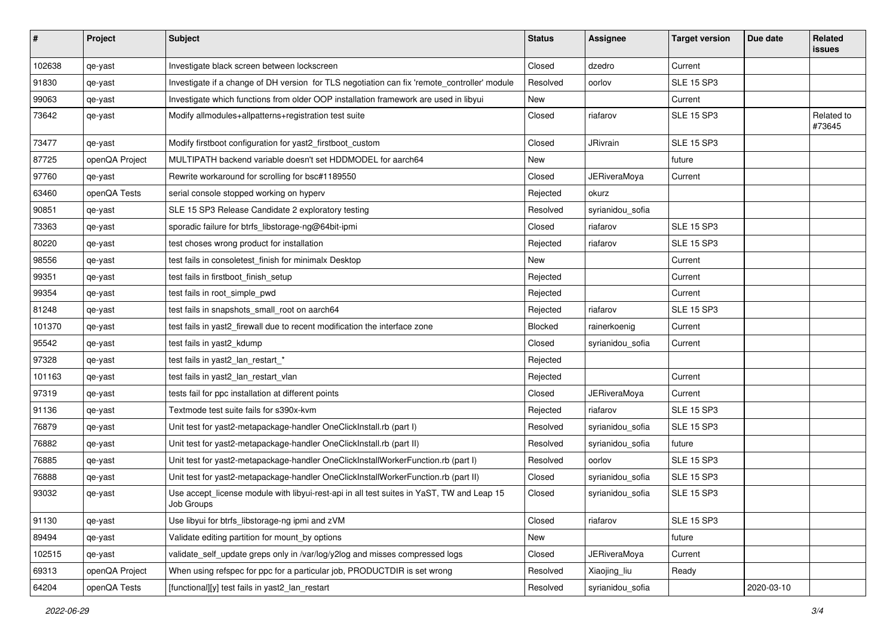| #      | Project        | <b>Subject</b>                                                                                          | <b>Status</b> | Assignee            | <b>Target version</b> | Due date   | <b>Related</b><br>issues |
|--------|----------------|---------------------------------------------------------------------------------------------------------|---------------|---------------------|-----------------------|------------|--------------------------|
| 102638 | qe-yast        | Investigate black screen between lockscreen                                                             | Closed        | dzedro              | Current               |            |                          |
| 91830  | qe-yast        | Investigate if a change of DH version for TLS negotiation can fix 'remote_controller' module            | Resolved      | oorlov              | <b>SLE 15 SP3</b>     |            |                          |
| 99063  | qe-yast        | Investigate which functions from older OOP installation framework are used in libyui                    | New           |                     | Current               |            |                          |
| 73642  | qe-yast        | Modify allmodules+allpatterns+registration test suite                                                   | Closed        | riafarov            | <b>SLE 15 SP3</b>     |            | Related to<br>#73645     |
| 73477  | qe-yast        | Modify firstboot configuration for yast2_firstboot_custom                                               | Closed        | JRivrain            | <b>SLE 15 SP3</b>     |            |                          |
| 87725  | openQA Project | MULTIPATH backend variable doesn't set HDDMODEL for aarch64                                             | New           |                     | future                |            |                          |
| 97760  | qe-yast        | Rewrite workaround for scrolling for bsc#1189550                                                        | Closed        | <b>JERiveraMoya</b> | Current               |            |                          |
| 63460  | openQA Tests   | serial console stopped working on hyperv                                                                | Rejected      | okurz               |                       |            |                          |
| 90851  | qe-yast        | SLE 15 SP3 Release Candidate 2 exploratory testing                                                      | Resolved      | syrianidou_sofia    |                       |            |                          |
| 73363  | qe-yast        | sporadic failure for btrfs_libstorage-ng@64bit-ipmi                                                     | Closed        | riafarov            | <b>SLE 15 SP3</b>     |            |                          |
| 80220  | qe-yast        | test choses wrong product for installation                                                              | Rejected      | riafarov            | <b>SLE 15 SP3</b>     |            |                          |
| 98556  | qe-yast        | test fails in consoletest finish for minimalx Desktop                                                   | New           |                     | Current               |            |                          |
| 99351  | qe-yast        | test fails in firstboot_finish_setup                                                                    | Rejected      |                     | Current               |            |                          |
| 99354  | qe-yast        | test fails in root simple pwd                                                                           | Rejected      |                     | Current               |            |                          |
| 81248  | qe-yast        | test fails in snapshots_small_root on aarch64                                                           | Rejected      | riafarov            | <b>SLE 15 SP3</b>     |            |                          |
| 101370 | qe-yast        | test fails in yast2_firewall due to recent modification the interface zone                              | Blocked       | rainerkoenig        | Current               |            |                          |
| 95542  | qe-yast        | test fails in yast2_kdump                                                                               | Closed        | syrianidou_sofia    | Current               |            |                          |
| 97328  | qe-yast        | test fails in yast2_lan_restart_*                                                                       | Rejected      |                     |                       |            |                          |
| 101163 | qe-yast        | test fails in yast2_lan_restart_vlan                                                                    | Rejected      |                     | Current               |            |                          |
| 97319  | qe-yast        | tests fail for ppc installation at different points                                                     | Closed        | <b>JERiveraMoya</b> | Current               |            |                          |
| 91136  | qe-yast        | Textmode test suite fails for s390x-kvm                                                                 | Rejected      | riafarov            | <b>SLE 15 SP3</b>     |            |                          |
| 76879  | qe-yast        | Unit test for yast2-metapackage-handler OneClickInstall.rb (part I)                                     | Resolved      | syrianidou_sofia    | <b>SLE 15 SP3</b>     |            |                          |
| 76882  | qe-yast        | Unit test for yast2-metapackage-handler OneClickInstall.rb (part II)                                    | Resolved      | syrianidou_sofia    | future                |            |                          |
| 76885  | qe-yast        | Unit test for yast2-metapackage-handler OneClickInstallWorkerFunction.rb (part I)                       | Resolved      | oorlov              | <b>SLE 15 SP3</b>     |            |                          |
| 76888  | qe-yast        | Unit test for yast2-metapackage-handler OneClickInstallWorkerFunction.rb (part II)                      | Closed        | syrianidou sofia    | <b>SLE 15 SP3</b>     |            |                          |
| 93032  | qe-yast        | Use accept_license module with libyui-rest-api in all test suites in YaST, TW and Leap 15<br>Job Groups | Closed        | syrianidou_sofia    | <b>SLE 15 SP3</b>     |            |                          |
| 91130  | qe-yast        | Use libyui for btrfs_libstorage-ng ipmi and zVM                                                         | Closed        | riafarov            | <b>SLE 15 SP3</b>     |            |                          |
| 89494  | qe-yast        | Validate editing partition for mount_by options                                                         | New           |                     | future                |            |                          |
| 102515 | qe-yast        | validate_self_update greps only in /var/log/y2log and misses compressed logs                            | Closed        | <b>JERiveraMoya</b> | Current               |            |                          |
| 69313  | openQA Project | When using refspec for ppc for a particular job, PRODUCTDIR is set wrong                                | Resolved      | Xiaojing_liu        | Ready                 |            |                          |
| 64204  | openQA Tests   | [functional][y] test fails in yast2_lan_restart                                                         | Resolved      | syrianidou_sofia    |                       | 2020-03-10 |                          |